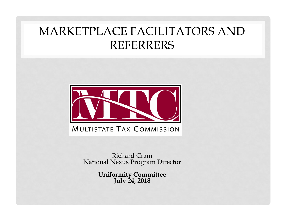# MARKETPLACE FACILITATORS AND REFERRERS



Richard CramNational Nexus Program Director

**Uniformity Committee July 24, 2018**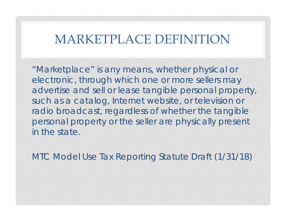#### MARKETPLACE DEFINITION

"Marketplace" is any means, whether physical or electronic, through which one or more sellers may advertise and sell or lease tangible personal property, such as a catalog, Internet website, or television or radio broadcast, regardless of whether the tangible personal property or the seller are physically present in the state.

MTC Model Use Tax Reporting Statute Draft (1/31/18)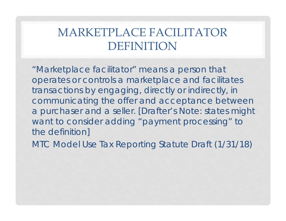# MARKETPLACE FACILITATOR DEFINITION

"Marketplace facilitator" means a person that operates or controls a marketplace and facilitates transactions by engaging, directly or indirectly, in communicating the offer and acceptance between a purchaser and a seller. [Drafter's Note: states might want to consider adding "payment processing" to the definition]

MTC Model Use Tax Reporting Statute Draft (1/31/18)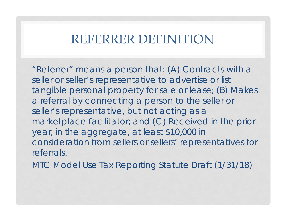#### REFERRER DEFINITION

"Referrer" means a person that: (A) Contracts with a seller or seller's representative to advertise or list tangible personal property for sale or lease; (B) Makes a referral by connecting a person to the seller or seller's representative, but not acting as a marketplace facilitator; and (C) Received in the prior year, in the aggregate, at least \$10,000 in consideration from sellers or sellers' representatives for referrals.

MTC Model Use Tax Reporting Statute Draft (1/31/18)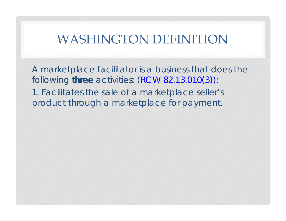#### WASHINGTON DEFINITION

A marketplace facilitator is a business that does the following **three** activities: (RCW 82.13.010(3)): 1. Facilitates the sale of a marketplace seller's product through a marketplace for payment.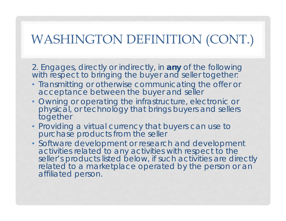# WASHINGTON DEFINITION (CONT.)

2. Engages, directly or indirectly, in **any** of the following with respect to bringing the buyer and seller together:

- Transmitting or otherwise communicating the offer or acceptance between the buyer and seller
- Owning or operating the infrastructure, electronic or physical, or technology that brings buyers and sellers together
- Providing a virtual currency that buyers can use to purchase products from the seller
- Software development or research and development activities related to any activities with respect to the seller's products listed below, if such activities are directly related to a marketplace operated by the person or an affiliated person.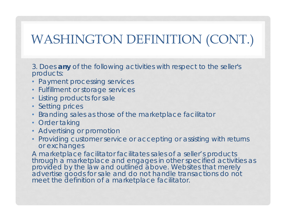# WASHINGTON DEFINITION (CONT.)

3. Does **any** of the following activities with respect to the seller's products:

- Payment processing services
- Fulfillment or storage services
- Listing products for sale
- Setting prices
- •Branding sales as those of the marketplace facilitator
- Order taking
- Advertising or promotion
- Providing customer service or accepting or assisting with returns or exchanges

A marketplace facilitator facilitates sales of a seller's products through a marketplace and engages in other specified activities as provided by the law and outlined above. Websites that merely advertise goods for sale and do not handle transactions do not meet the definition of a marketplace facilitator.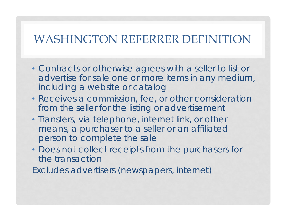#### WASHINGTON REFERRER DEFINITION

- Contracts or otherwise agrees with a seller to list or advertise for sale one or more items in any medium, including a website or catalog
- Receives a commission, fee, or other consideration from the seller for the listing or advertisement
- Transfers, via telephone, internet link, or other means, a purchaser to a seller or an affiliated person to complete the sale
- Does not collect receipts from the purchasers for the transaction

Excludes advertisers (newspapers, internet)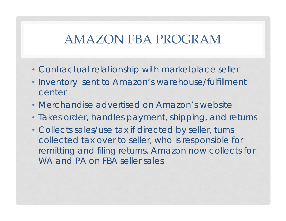#### AMAZON FBA PROGRAM

- Contractual relationship with marketplace seller
- • Inventory sent to Amazon's warehouse/fulfillment center
- Merchandise advertised on Amazon's website
- Takes order, handles payment, shipping, and returns
- Collects sales/use tax if directed by seller, turns collected tax over to seller, who is responsible for remitting and filing returns. Amazon now collects for WA and PA on FBA seller sales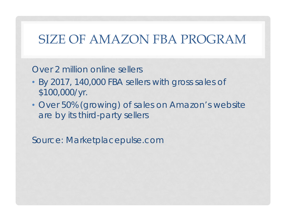## SIZE OF AMAZON FBA PROGRAM

Over 2 million online sellers

- By 2017, 140,000 FBA sellers with gross sales of \$100,000/yr.
- Over 50% (growing) of sales on Amazon's website are by its third-party sellers

Source: Marketplacepulse.com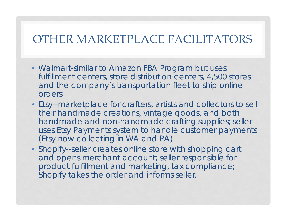#### OTHER MARKETPLACE FACILITATORS

- Walmart-similar to Amazon FBA Program but uses fulfillment centers, store distribution centers, 4,500 stores and the company's transportation fleet to ship online orders
- Etsy--marketplace for crafters, artists and collectors to sell their handmade creations, vintage goods, and both handmade and non-handmade crafting supplies; seller uses Etsy Payments system to handle customer payments (Etsy now collecting in WA and PA)
- Shopify--seller creates online store with shopping cart and opens merchant account; seller responsible for product fulfillment and marketing, tax compliance; Shopify takes the order and informs seller.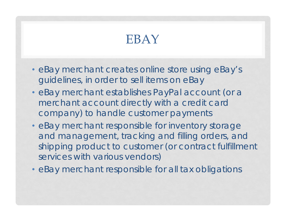# EBAY

- eBay merchant creates online store using eBay's guidelines, in order to sell items on eBay
- eBay merchant establishes PayPal account (or a merchant account directly with a credit card company) to handle customer payments
- eBay merchant responsible for inventory storage and management, tracking and filling orders, and shipping product to customer (or contract fulfillment services with various vendors)
- eBay merchant responsible for all tax obligations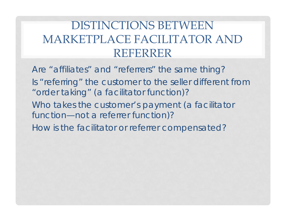# DISTINCTIONS BETWEEN MARKETPLACE FACILITATOR AND REFERRER

Are "affiliates" and "referrers" the same thing? Is "referring" the customer to the seller different from "order taking" (a facilitator function)? Who takes the customer's payment (a facilitator function—not a referrer function)? How is the facilitator or referrer compensated?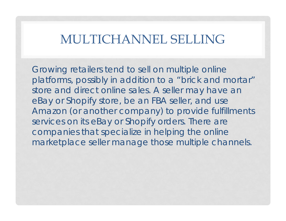#### MULTICHANNEL SELLING

Growing retailers tend to sell on multiple online platforms, possibly in addition to a "brick and mortar" store and direct online sales. A seller may have an eBay or Shopify store, be an FBA seller, and use Amazon (or another company) to provide fulfillments services on its eBay or Shopify orders. There are companies that specialize in helping the online marketplace seller manage those multiple channels.